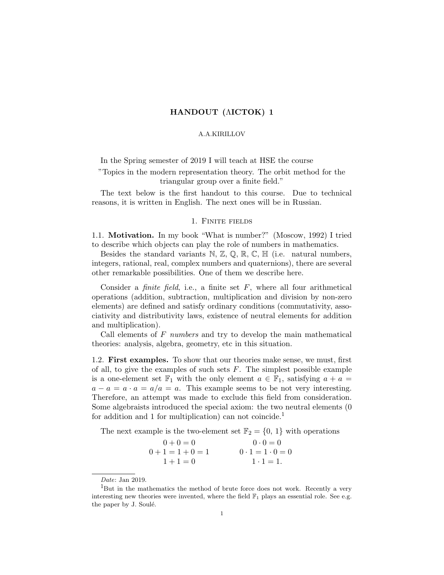## HANDOUT (ΛICTOK) 1

## A.A.KIRILLOV

In the Spring semester of 2019 I will teach at HSE the course

"Topics in the modern representation theory. The orbit method for the triangular group over a finite field."

The text below is the first handout to this course. Due to technical reasons, it is written in English. The next ones will be in Russian.

## 1. Finite fields

1.1. Motivation. In my book "What is number?" (Moscow, 1992) I tried to describe which objects can play the role of numbers in mathematics.

Besides the standard variants  $\mathbb{N}, \mathbb{Z}, \mathbb{Q}, \mathbb{R}, \mathbb{C}, \mathbb{H}$  (i.e. natural numbers, integers, rational, real, complex numbers and quaternions), there are several other remarkable possibilities. One of them we describe here.

Consider a *finite field*, i.e., a finite set  $F$ , where all four arithmetical operations (addition, subtraction, multiplication and division by non-zero elements) are defined and satisfy ordinary conditions (commutativity, associativity and distributivity laws, existence of neutral elements for addition and multiplication).

Call elements of  $F$  numbers and try to develop the main mathematical theories: analysis, algebra, geometry, etc in this situation.

1.2. First examples. To show that our theories make sense, we must, first of all, to give the examples of such sets  $F$ . The simplest possible example is a one-element set  $\mathbb{F}_1$  with the only element  $a \in \mathbb{F}_1$ , satisfying  $a + a =$  $a - a = a \cdot a = a/a = a$ . This example seems to be not very interesting. Therefore, an attempt was made to exclude this field from consideration. Some algebraists introduced the special axiom: the two neutral elements (0 for addition and 1 for multiplication) can not coincide.<sup>1</sup>

The next example is the two-element set  $\mathbb{F}_2 = \{0, 1\}$  with operations

| $0 + 0 = 0$ | $0 \cdot 0 = 0$             |
|-------------|-----------------------------|
| $0+1=1+0=1$ | $0 \cdot 1 = 1 \cdot 0 = 0$ |
| $1+1=0$     | $1 \cdot 1 = 1$ .           |

Date: Jan 2019.

<sup>&</sup>lt;sup>1</sup>But in the mathematics the method of brute force does not work. Recently a very interesting new theories were invented, where the field  $\mathbb{F}_1$  plays an essential role. See e.g. the paper by J. Soulé.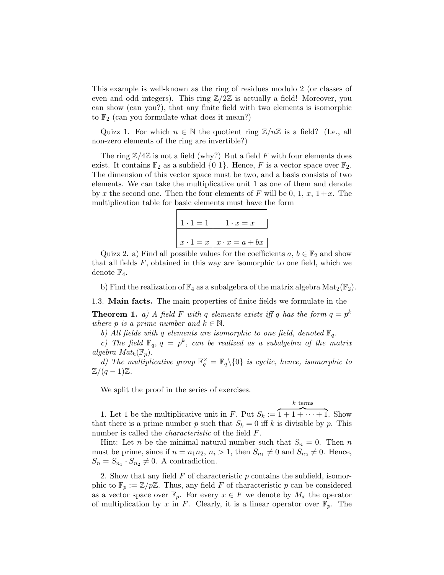This example is well-known as the ring of residues modulo 2 (or classes of even and odd integers). This ring  $\mathbb{Z}/2\mathbb{Z}$  is actually a field! Moreover, you can show (can you?), that any finite field with two elements is isomorphic to  $\mathbb{F}_2$  (can you formulate what does it mean?)

Quizz 1. For which  $n \in \mathbb{N}$  the quotient ring  $\mathbb{Z}/n\mathbb{Z}$  is a field? (I.e., all non-zero elements of the ring are invertible?)

The ring  $\mathbb{Z}/4\mathbb{Z}$  is not a field (why?) But a field F with four elements does exist. It contains  $\mathbb{F}_2$  as a subfield  $\{0, 1\}$ . Hence, F is a vector space over  $\mathbb{F}_2$ . The dimension of this vector space must be two, and a basis consists of two elements. We can take the multiplicative unit 1 as one of them and denote by x the second one. Then the four elements of F will be 0, 1, x,  $1+x$ . The multiplication table for basic elements must have the form

$$
\begin{array}{|c|c|c|}\n\hline\n1 \cdot 1 = 1 & 1 \cdot x = x \\
\hline\nx \cdot 1 = x & x \cdot x = a + bx\n\end{array}
$$

Quizz 2. a) Find all possible values for the coefficients  $a, b \in \mathbb{F}_2$  and show that all fields  $F$ , obtained in this way are isomorphic to one field, which we denote  $\mathbb{F}_4$ .

b) Find the realization of  $\mathbb{F}_4$  as a subalgebra of the matrix algebra  $\text{Mat}_2(\mathbb{F}_2)$ .

1.3. Main facts. The main properties of finite fields we formulate in the

**Theorem 1.** a) A field F with q elements exists iff q has the form  $q = p^k$ where p is a prime number and  $k \in \mathbb{N}$ .

b) All fields with q elements are isomorphic to one field, denoted  $\mathbb{F}_q$ .

c) The field  $\mathbb{F}_q$ ,  $q = p^k$ , can be realized as a subalgebra of the matrix algebra  $Mat_k(\mathbb{F}_p)$ .

d) The multiplicative group  $\mathbb{F}_q^{\times} = \mathbb{F}_q \setminus \{0\}$  is cyclic, hence, isomorphic to  $\mathbb{Z}/(q-1)\mathbb{Z}$ .

We split the proof in the series of exercises.

 $k$  terms

1. Let 1 be the multiplicative unit in F. Put  $S_k := \overline{1 + 1 + \cdots + 1}$ . Show that there is a prime number p such that  $S_k = 0$  iff k is divisible by p. This number is called the characteristic of the field F.

Hint: Let *n* be the minimal natural number such that  $S_n = 0$ . Then *n* must be prime, since if  $n = n_1 n_2$ ,  $n_i > 1$ , then  $S_{n_1} \neq 0$  and  $S_{n_2} \neq 0$ . Hence,  $S_n = S_{n_1} \cdot S_{n_2} \neq 0$ . A contradiction.

2. Show that any field  $F$  of characteristic  $p$  contains the subfield, isomorphic to  $\mathbb{F}_p := \mathbb{Z}/p\mathbb{Z}$ . Thus, any field F of characteristic p can be considered as a vector space over  $\mathbb{F}_p$ . For every  $x \in F$  we denote by  $M_x$  the operator of multiplication by x in F. Clearly, it is a linear operator over  $\mathbb{F}_p$ . The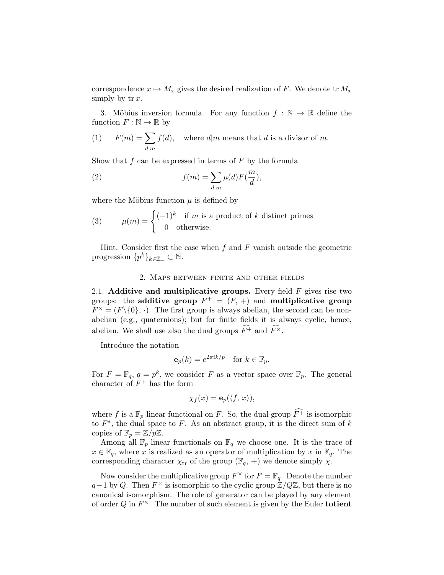correspondence  $x \mapsto M_x$  gives the desired realization of F. We denote tr  $M_x$ simply by  $tr x$ .

3. Möbius inversion formula. For any function  $f : \mathbb{N} \to \mathbb{R}$  define the function  $F : \mathbb{N} \to \mathbb{R}$  by

(1) 
$$
F(m) = \sum_{d|m} f(d)
$$
, where  $d|m$  means that d is a divisor of m.

Show that  $f$  can be expressed in terms of  $F$  by the formula

(2) 
$$
f(m) = \sum_{d|m} \mu(d) F(\frac{m}{d}),
$$

where the Möbius function  $\mu$  is defined by

(3) 
$$
\mu(m) = \begin{cases} (-1)^k & \text{if } m \text{ is a product of } k \text{ distinct primes} \\ 0 & \text{otherwise.} \end{cases}
$$

Hint. Consider first the case when  $f$  and  $F$  vanish outside the geometric progression  $\{p^k\}_{k\in\mathbb{Z}_+}\subset\mathbb{N}$ .

## 2. Maps between finite and other fields

2.1. Additive and multiplicative groups. Every field  $F$  gives rise two groups: the additive group  $F^+ = (F, +)$  and multiplicative group  $F^{\times} = (F \setminus \{0\}, \cdot)$ . The first group is always abelian, the second can be nonabelian (e.g., quaternions); but for finite fields it is always cyclic, hence, abelian. We shall use also the dual groups  $\widehat{F}$  and  $\widehat{F}^{\times}$ .

Introduce the notation

$$
\mathbf{e}_p(k) = e^{2\pi i k/p} \quad \text{for } k \in \mathbb{F}_p.
$$

For  $F = \mathbb{F}_q$ ,  $q = p^k$ , we consider F as a vector space over  $\mathbb{F}_p$ . The general character of  $F^+$  has the form

$$
\chi_f(x) = \mathbf{e}_p(\langle f, x \rangle),
$$

where f is a  $\mathbb{F}_p$ -linear functional on F. So, the dual group  $\widehat{F}$  is isomorphic to  $F^*$ , the dual space to F. As an abstract group, it is the direct sum of k copies of  $\mathbb{F}_p = \mathbb{Z}/p\mathbb{Z}$ .

Among all  $\mathbb{F}_p$ -linear functionals on  $\mathbb{F}_q$  we choose one. It is the trace of  $x \in \mathbb{F}_q$ , where x is realized as an operator of multiplication by x in  $\mathbb{F}_q$ . The corresponding character  $\chi_{tr}$  of the group ( $\mathbb{F}_q$ , +) we denote simply  $\chi$ .

Now consider the multiplicative group  $F^{\times}$  for  $F = \mathbb{F}_q$ . Denote the number  $q-1$  by Q. Then  $F^{\times}$  is isomorphic to the cyclic group  $\mathbb{Z}/Q\mathbb{Z}$ , but there is no canonical isomorphism. The role of generator can be played by any element of order  $Q$  in  $F^{\times}$ . The number of such element is given by the Euler totient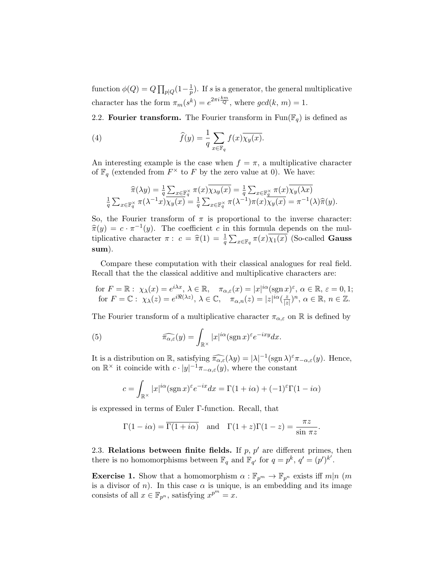function  $\phi(Q) = Q \prod_{p \mid Q} (1 - \frac{1}{p})$  $\frac{1}{p}$ ). If s is a generator, the general multiplicative character has the form  $\pi_m(s^k) = e^{2\pi i \frac{k_m}{Q}}$ , where  $gcd(k, m) = 1$ .

2.2. Fourier transform. The Fourier transform in  $\text{Fun}(\mathbb{F}_q)$  is defined as

(4) 
$$
\widehat{f}(y) = \frac{1}{q} \sum_{x \in \mathbb{F}_q} f(x) \overline{\chi_y(x)}.
$$

An interesting example is the case when  $f = \pi$ , a multiplicative character of  $\mathbb{F}_q$  (extended from  $F^\times$  to F by the zero value at 0). We have:

$$
\widehat{\pi}(\lambda y) = \frac{1}{q} \sum_{x \in \mathbb{F}_q^{\times}} \pi(x) \overline{\chi_{\lambda y}(x)} = \frac{1}{q} \sum_{x \in \mathbb{F}_q^{\times}} \pi(x) \overline{\chi_{y}(\lambda x)}
$$

$$
\frac{1}{q} \sum_{x \in \mathbb{F}_q^{\times}} \pi(\lambda^{-1} x) \overline{\chi_{y}(x)} = \frac{1}{q} \sum_{x \in \mathbb{F}_q^{\times}} \pi(\lambda^{-1}) \pi(x) \overline{\chi_{y}(x)} = \pi^{-1}(\lambda) \widehat{\pi}(y).
$$

So, the Fourier transform of  $\pi$  is proportional to the inverse character:  $\hat{\pi}(y) = c \cdot \pi^{-1}(y)$ . The coefficient c in this formula depends on the multiplicative changes  $\hat{\pi}(y) = c \cdot \hat{\pi}^{-1}(y)$ . tiplicative character  $\pi: c = \hat{\pi}(1) = \frac{1}{q} \sum_{x \in \mathbb{F}_q} \pi(x) \overline{\chi_1(x)}$  (So-called **Gauss** sum).

Compare these computation with their classical analogues for real field. Recall that the the classical additive and multiplicative characters are:

for 
$$
F = \mathbb{R}
$$
:  $\chi_{\lambda}(x) = e^{i\lambda x}, \lambda \in \mathbb{R}, \quad \pi_{\alpha,\varepsilon}(x) = |x|^{i\alpha} (\text{sgn } x)^{\varepsilon}, \alpha \in \mathbb{R}, \varepsilon = 0, 1;$   
for  $F = \mathbb{C}$ :  $\chi_{\lambda}(z) = e^{i\Re(\lambda z)}, \lambda \in \mathbb{C}, \quad \pi_{\alpha,n}(z) = |z|^{i\alpha} (\frac{z}{|z|})^n, \alpha \in \mathbb{R}, n \in \mathbb{Z}.$ 

The Fourier transform of a multiplicative character  $\pi_{\alpha,\varepsilon}$  on R is defined by

(5) 
$$
\widehat{\pi_{\alpha,\varepsilon}}(y) = \int_{\mathbb{R}^\times} |x|^{i\alpha} (\operatorname{sgn} x)^{\varepsilon} e^{-ixy} dx.
$$

It is a distribution on  $\mathbb{R}$ , satisfying  $\widehat{\pi_{\alpha,\varepsilon}}(\lambda y) = |\lambda|^{-1}(\text{sgn }\lambda)^{\varepsilon} \pi_{-\alpha,\varepsilon}(y)$ . Hence, on  $\mathbb{R}^{\times}$  it coincide with  $c \cdot |y|^{-1} \pi_{-\alpha,\varepsilon}(y)$ , where the constant

$$
c = \int_{\mathbb{R}^{\times}} |x|^{i\alpha} (\operatorname{sgn} x)^{\varepsilon} e^{-ix} dx = \Gamma(1 + i\alpha) + (-1)^{\varepsilon} \Gamma(1 - i\alpha)
$$

is expressed in terms of Euler Γ-function. Recall, that

$$
\Gamma(1 - i\alpha) = \overline{\Gamma(1 + i\alpha)}
$$
 and  $\Gamma(1 + z)\Gamma(1 - z) = \frac{\pi z}{\sin \pi z}$ .

2.3. Relations between finite fields. If  $p, p'$  are different primes, then there is no homomorphisms between  $\mathbb{F}_q$  and  $\mathbb{F}_{q'}$  for  $q = p^k$ ,  $q' = (p')^{k'}$ .

**Exercise 1.** Show that a homomorphism  $\alpha : \mathbb{F}_{p^m} \to \mathbb{F}_{p^n}$  exists iff  $m|n$  (m is a divisor of n). In this case  $\alpha$  is unique, is an embedding and its image consists of all  $x \in \mathbb{F}_{p^n}$ , satisfying  $x^{p^m} = x$ .